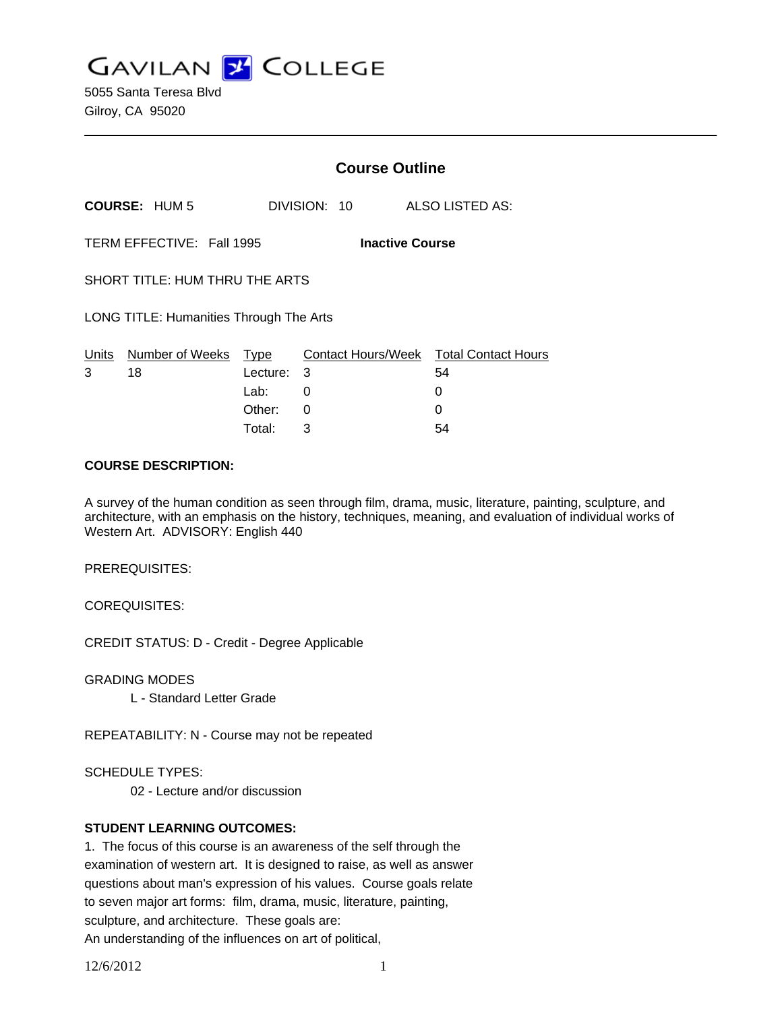**GAVILAN J COLLEGE** 

5055 Santa Teresa Blvd Gilroy, CA 95020

|                                                     |                      | <b>Course Outline</b> |              |                                        |
|-----------------------------------------------------|----------------------|-----------------------|--------------|----------------------------------------|
|                                                     | <b>COURSE: HUM 5</b> |                       | DIVISION: 10 | ALSO LISTED AS:                        |
| TERM EFFECTIVE: Fall 1995<br><b>Inactive Course</b> |                      |                       |              |                                        |
| SHORT TITLE: HUM THRU THE ARTS                      |                      |                       |              |                                        |
| LONG TITLE: Humanities Through The Arts             |                      |                       |              |                                        |
| Units                                               | Number of Weeks      | Type                  |              | Contact Hours/Week Total Contact Hours |
| 3                                                   | 18                   | Lecture:              | 3            | 54                                     |
|                                                     |                      | Lab:                  | 0            | 0                                      |
|                                                     |                      | Other:                | 0            |                                        |

### **COURSE DESCRIPTION:**

A survey of the human condition as seen through film, drama, music, literature, painting, sculpture, and architecture, with an emphasis on the history, techniques, meaning, and evaluation of individual works of Western Art. ADVISORY: English 440

Total: 3 54

PREREQUISITES:

COREQUISITES:

CREDIT STATUS: D - Credit - Degree Applicable

GRADING MODES

L - Standard Letter Grade

REPEATABILITY: N - Course may not be repeated

SCHEDULE TYPES:

02 - Lecture and/or discussion

## **STUDENT LEARNING OUTCOMES:**

1. The focus of this course is an awareness of the self through the examination of western art. It is designed to raise, as well as answer questions about man's expression of his values. Course goals relate to seven major art forms: film, drama, music, literature, painting, sculpture, and architecture. These goals are: An understanding of the influences on art of political,

12/6/2012 1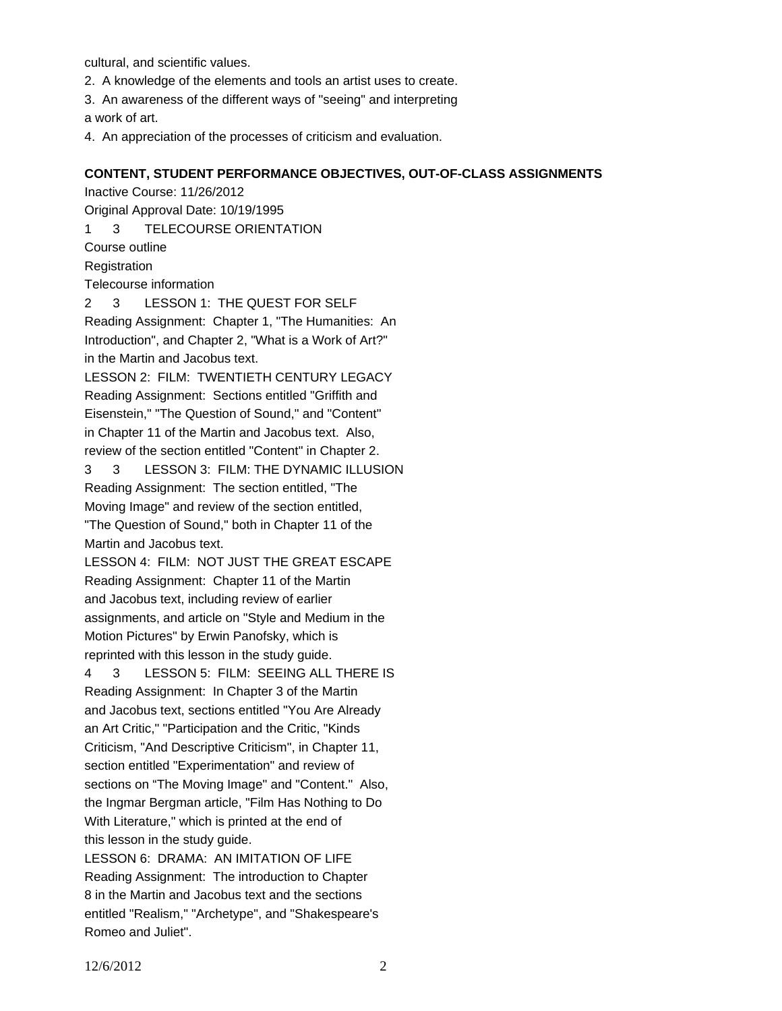cultural, and scientific values.

2. A knowledge of the elements and tools an artist uses to create.

3. An awareness of the different ways of "seeing" and interpreting a work of art.

4. An appreciation of the processes of criticism and evaluation.

### **CONTENT, STUDENT PERFORMANCE OBJECTIVES, OUT-OF-CLASS ASSIGNMENTS**

Inactive Course: 11/26/2012 Original Approval Date: 10/19/1995 1 3 TELECOURSE ORIENTATION Course outline Registration Telecourse information

2 3 LESSON 1: THE QUEST FOR SELF Reading Assignment: Chapter 1, "The Humanities: An Introduction", and Chapter 2, "What is a Work of Art?"

in the Martin and Jacobus text. LESSON 2: FILM: TWENTIETH CENTURY LEGACY

Reading Assignment: Sections entitled "Griffith and Eisenstein," "The Question of Sound," and "Content" in Chapter 11 of the Martin and Jacobus text. Also, review of the section entitled "Content" in Chapter 2.

3 3 LESSON 3: FILM: THE DYNAMIC ILLUSION Reading Assignment: The section entitled, "The Moving Image" and review of the section entitled, "The Question of Sound," both in Chapter 11 of the Martin and Jacobus text.

LESSON 4: FILM: NOT JUST THE GREAT ESCAPE Reading Assignment: Chapter 11 of the Martin and Jacobus text, including review of earlier assignments, and article on "Style and Medium in the Motion Pictures" by Erwin Panofsky, which is reprinted with this lesson in the study guide.

4 3 LESSON 5: FILM: SEEING ALL THERE IS Reading Assignment: In Chapter 3 of the Martin and Jacobus text, sections entitled "You Are Already an Art Critic," "Participation and the Critic, "Kinds Criticism, "And Descriptive Criticism", in Chapter 11, section entitled "Experimentation" and review of sections on "The Moving Image" and "Content." Also, the Ingmar Bergman article, "Film Has Nothing to Do With Literature," which is printed at the end of this lesson in the study guide.

LESSON 6: DRAMA: AN IMITATION OF LIFE Reading Assignment: The introduction to Chapter 8 in the Martin and Jacobus text and the sections entitled "Realism," "Archetype", and "Shakespeare's Romeo and Juliet".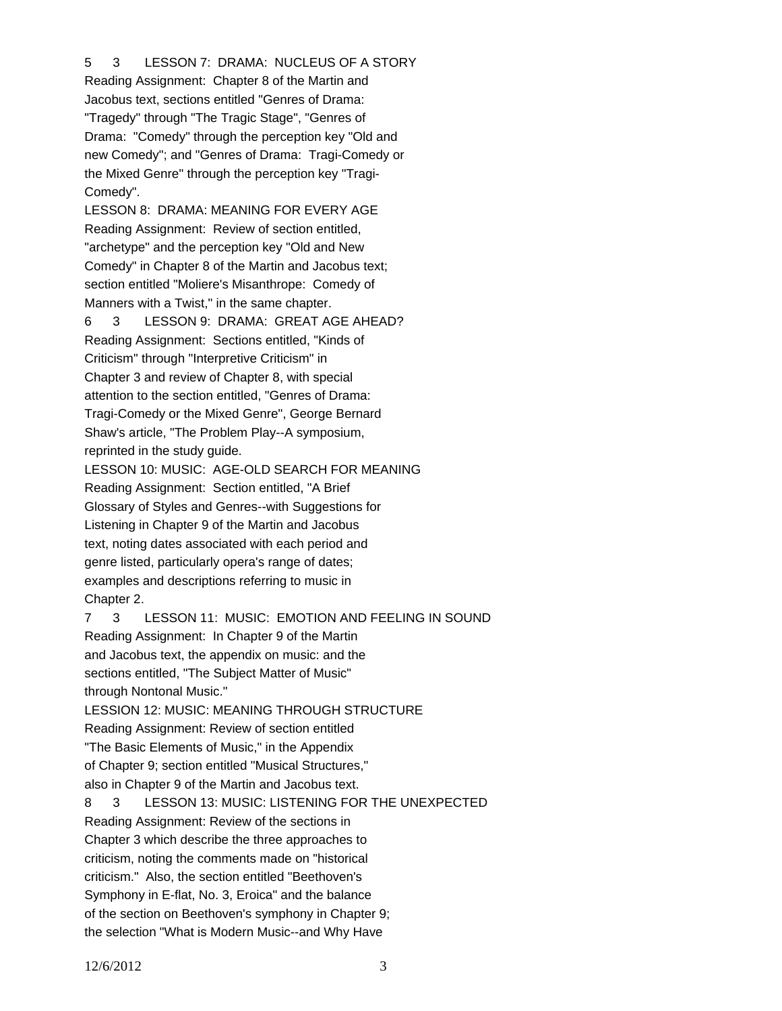# 5 3 LESSON 7: DRAMA: NUCLEUS OF A STORY

Reading Assignment: Chapter 8 of the Martin and Jacobus text, sections entitled "Genres of Drama: "Tragedy" through "The Tragic Stage", "Genres of Drama: "Comedy" through the perception key "Old and new Comedy"; and "Genres of Drama: Tragi-Comedy or the Mixed Genre" through the perception key "Tragi-Comedy".

LESSON 8: DRAMA: MEANING FOR EVERY AGE Reading Assignment: Review of section entitled, "archetype" and the perception key "Old and New Comedy" in Chapter 8 of the Martin and Jacobus text; section entitled "Moliere's Misanthrope: Comedy of Manners with a Twist," in the same chapter.

6 3 LESSON 9: DRAMA: GREAT AGE AHEAD? Reading Assignment: Sections entitled, "Kinds of Criticism" through "Interpretive Criticism" in Chapter 3 and review of Chapter 8, with special attention to the section entitled, "Genres of Drama: Tragi-Comedy or the Mixed Genre", George Bernard Shaw's article, "The Problem Play--A symposium, reprinted in the study guide.

LESSON 10: MUSIC: AGE-OLD SEARCH FOR MEANING Reading Assignment: Section entitled, "A Brief Glossary of Styles and Genres--with Suggestions for Listening in Chapter 9 of the Martin and Jacobus text, noting dates associated with each period and genre listed, particularly opera's range of dates; examples and descriptions referring to music in Chapter 2.

7 3 LESSON 11: MUSIC: EMOTION AND FEELING IN SOUND Reading Assignment: In Chapter 9 of the Martin and Jacobus text, the appendix on music: and the sections entitled, "The Subject Matter of Music" through Nontonal Music." LESSION 12: MUSIC: MEANING THROUGH STRUCTURE Reading Assignment: Review of section entitled "The Basic Elements of Music," in the Appendix of Chapter 9; section entitled "Musical Structures," also in Chapter 9 of the Martin and Jacobus text. 8 3 LESSON 13: MUSIC: LISTENING FOR THE UNEXPECTED Reading Assignment: Review of the sections in Chapter 3 which describe the three approaches to criticism, noting the comments made on "historical criticism." Also, the section entitled "Beethoven's Symphony in E-flat, No. 3, Eroica" and the balance of the section on Beethoven's symphony in Chapter 9; the selection "What is Modern Music--and Why Have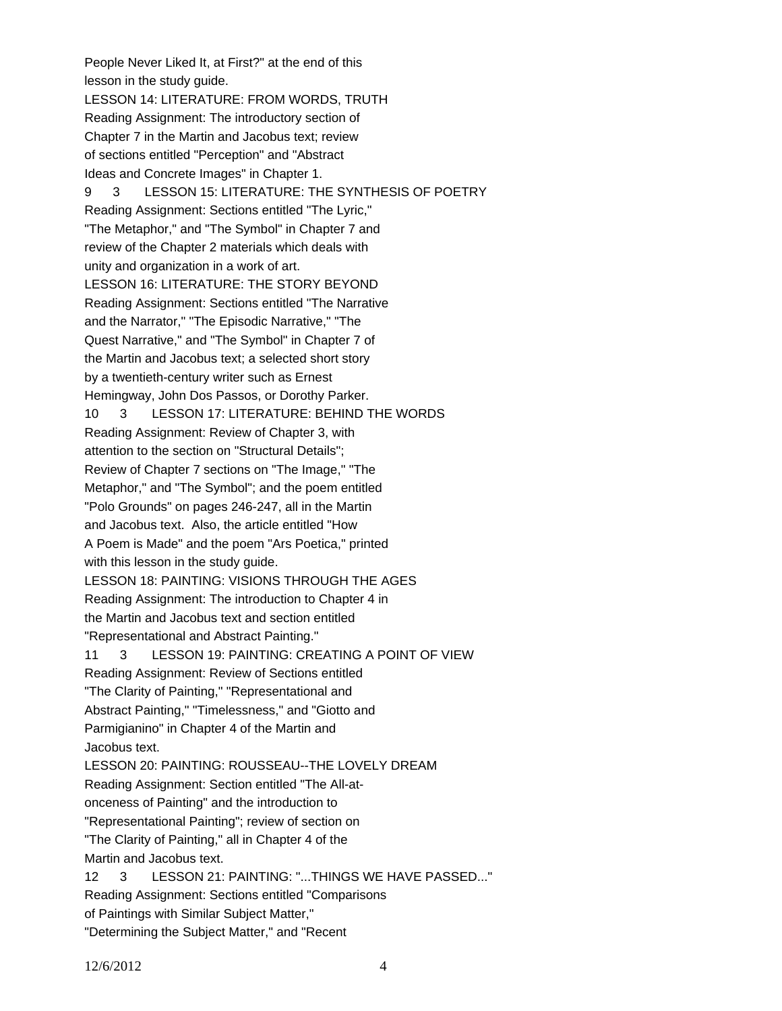People Never Liked It, at First?" at the end of this lesson in the study guide. LESSON 14: LITERATURE: FROM WORDS, TRUTH Reading Assignment: The introductory section of Chapter 7 in the Martin and Jacobus text; review of sections entitled "Perception" and "Abstract Ideas and Concrete Images" in Chapter 1. 9 3 LESSON 15: LITERATURE: THE SYNTHESIS OF POETRY Reading Assignment: Sections entitled "The Lyric," "The Metaphor," and "The Symbol" in Chapter 7 and review of the Chapter 2 materials which deals with unity and organization in a work of art. LESSON 16: LITERATURE: THE STORY BEYOND Reading Assignment: Sections entitled "The Narrative and the Narrator," "The Episodic Narrative," "The Quest Narrative," and "The Symbol" in Chapter 7 of the Martin and Jacobus text; a selected short story by a twentieth-century writer such as Ernest Hemingway, John Dos Passos, or Dorothy Parker. 10 3 LESSON 17: LITERATURE: BEHIND THE WORDS Reading Assignment: Review of Chapter 3, with attention to the section on "Structural Details"; Review of Chapter 7 sections on "The Image," "The Metaphor," and "The Symbol"; and the poem entitled "Polo Grounds" on pages 246-247, all in the Martin and Jacobus text. Also, the article entitled "How A Poem is Made" and the poem "Ars Poetica," printed with this lesson in the study guide. LESSON 18: PAINTING: VISIONS THROUGH THE AGES Reading Assignment: The introduction to Chapter 4 in the Martin and Jacobus text and section entitled "Representational and Abstract Painting." 11 3 LESSON 19: PAINTING: CREATING A POINT OF VIEW Reading Assignment: Review of Sections entitled "The Clarity of Painting," "Representational and Abstract Painting," "Timelessness," and "Giotto and Parmigianino" in Chapter 4 of the Martin and Jacobus text. LESSON 20: PAINTING: ROUSSEAU--THE LOVELY DREAM Reading Assignment: Section entitled "The All-atonceness of Painting" and the introduction to "Representational Painting"; review of section on "The Clarity of Painting," all in Chapter 4 of the Martin and Jacobus text. 12 3 LESSON 21: PAINTING: "...THINGS WE HAVE PASSED..." Reading Assignment: Sections entitled "Comparisons of Paintings with Similar Subject Matter," "Determining the Subject Matter," and "Recent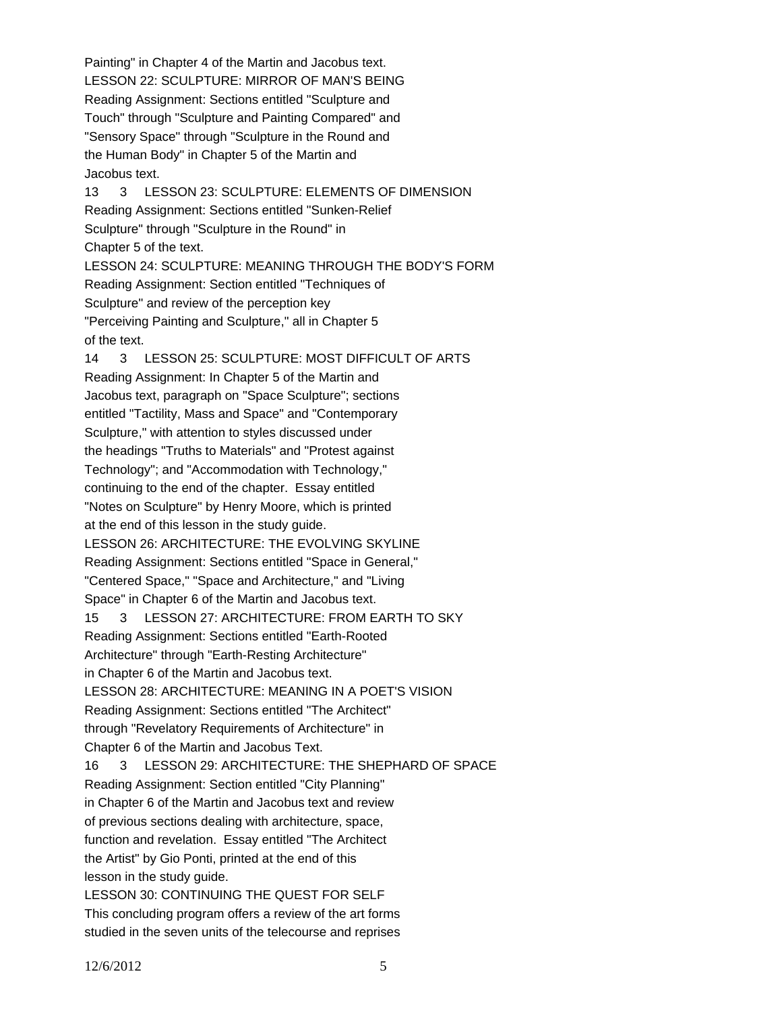Painting" in Chapter 4 of the Martin and Jacobus text. LESSON 22: SCULPTURE: MIRROR OF MAN'S BEING Reading Assignment: Sections entitled "Sculpture and Touch" through "Sculpture and Painting Compared" and "Sensory Space" through "Sculpture in the Round and the Human Body" in Chapter 5 of the Martin and Jacobus text. 13 3 LESSON 23: SCULPTURE: ELEMENTS OF DIMENSION Reading Assignment: Sections entitled "Sunken-Relief Sculpture" through "Sculpture in the Round" in Chapter 5 of the text. LESSON 24: SCULPTURE: MEANING THROUGH THE BODY'S FORM Reading Assignment: Section entitled "Techniques of Sculpture" and review of the perception key "Perceiving Painting and Sculpture," all in Chapter 5 of the text. 14 3 LESSON 25: SCULPTURE: MOST DIFFICULT OF ARTS Reading Assignment: In Chapter 5 of the Martin and Jacobus text, paragraph on "Space Sculpture"; sections entitled "Tactility, Mass and Space" and "Contemporary Sculpture," with attention to styles discussed under the headings "Truths to Materials" and "Protest against Technology"; and "Accommodation with Technology," continuing to the end of the chapter. Essay entitled "Notes on Sculpture" by Henry Moore, which is printed at the end of this lesson in the study guide. LESSON 26: ARCHITECTURE: THE EVOLVING SKYLINE Reading Assignment: Sections entitled "Space in General," "Centered Space," "Space and Architecture," and "Living Space" in Chapter 6 of the Martin and Jacobus text. 15 3 LESSON 27: ARCHITECTURE: FROM EARTH TO SKY Reading Assignment: Sections entitled "Earth-Rooted Architecture" through "Earth-Resting Architecture" in Chapter 6 of the Martin and Jacobus text. LESSON 28: ARCHITECTURE: MEANING IN A POET'S VISION Reading Assignment: Sections entitled "The Architect" through "Revelatory Requirements of Architecture" in Chapter 6 of the Martin and Jacobus Text. 16 3 LESSON 29: ARCHITECTURE: THE SHEPHARD OF SPACE Reading Assignment: Section entitled "City Planning" in Chapter 6 of the Martin and Jacobus text and review of previous sections dealing with architecture, space, function and revelation. Essay entitled "The Architect the Artist" by Gio Ponti, printed at the end of this lesson in the study guide. LESSON 30: CONTINUING THE QUEST FOR SELF This concluding program offers a review of the art forms

studied in the seven units of the telecourse and reprises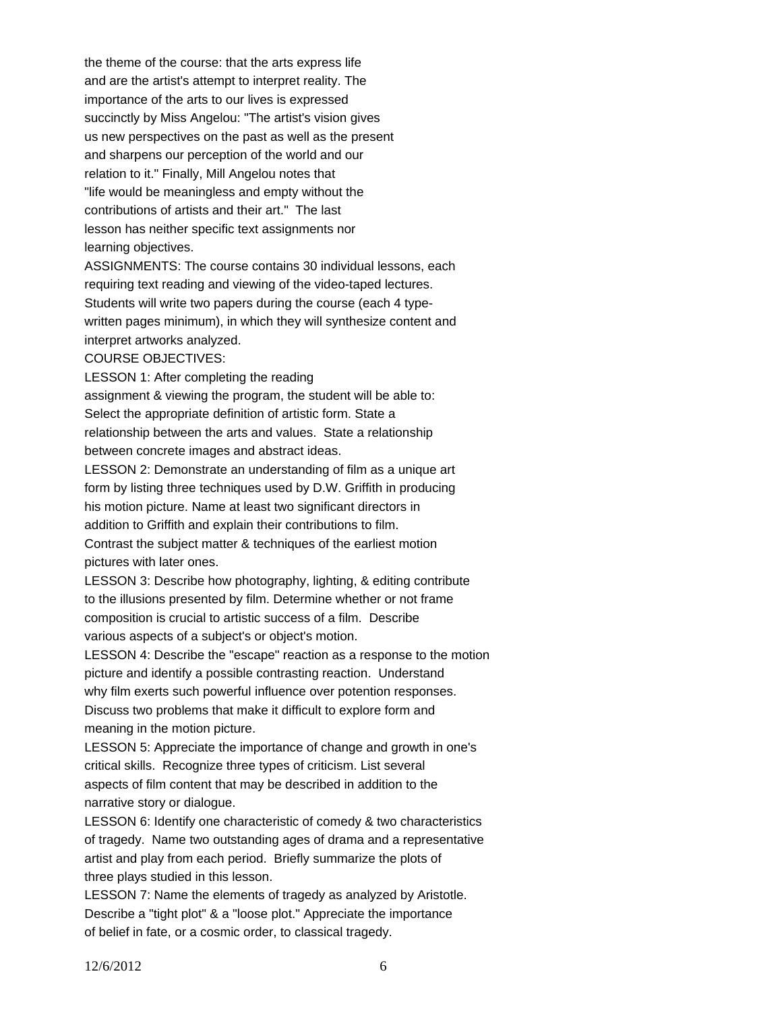the theme of the course: that the arts express life and are the artist's attempt to interpret reality. The importance of the arts to our lives is expressed succinctly by Miss Angelou: "The artist's vision gives us new perspectives on the past as well as the present and sharpens our perception of the world and our relation to it." Finally, Mill Angelou notes that "life would be meaningless and empty without the contributions of artists and their art." The last lesson has neither specific text assignments nor learning objectives.

ASSIGNMENTS: The course contains 30 individual lessons, each requiring text reading and viewing of the video-taped lectures. Students will write two papers during the course (each 4 typewritten pages minimum), in which they will synthesize content and interpret artworks analyzed.

COURSE OBJECTIVES:

LESSON 1: After completing the reading

assignment & viewing the program, the student will be able to: Select the appropriate definition of artistic form. State a relationship between the arts and values. State a relationship between concrete images and abstract ideas.

LESSON 2: Demonstrate an understanding of film as a unique art form by listing three techniques used by D.W. Griffith in producing his motion picture. Name at least two significant directors in addition to Griffith and explain their contributions to film. Contrast the subject matter & techniques of the earliest motion pictures with later ones.

LESSON 3: Describe how photography, lighting, & editing contribute to the illusions presented by film. Determine whether or not frame composition is crucial to artistic success of a film. Describe various aspects of a subject's or object's motion.

LESSON 4: Describe the "escape" reaction as a response to the motion picture and identify a possible contrasting reaction. Understand why film exerts such powerful influence over potention responses. Discuss two problems that make it difficult to explore form and meaning in the motion picture.

LESSON 5: Appreciate the importance of change and growth in one's critical skills. Recognize three types of criticism. List several aspects of film content that may be described in addition to the narrative story or dialogue.

LESSON 6: Identify one characteristic of comedy & two characteristics of tragedy. Name two outstanding ages of drama and a representative artist and play from each period. Briefly summarize the plots of three plays studied in this lesson.

LESSON 7: Name the elements of tragedy as analyzed by Aristotle. Describe a "tight plot" & a "loose plot." Appreciate the importance of belief in fate, or a cosmic order, to classical tragedy.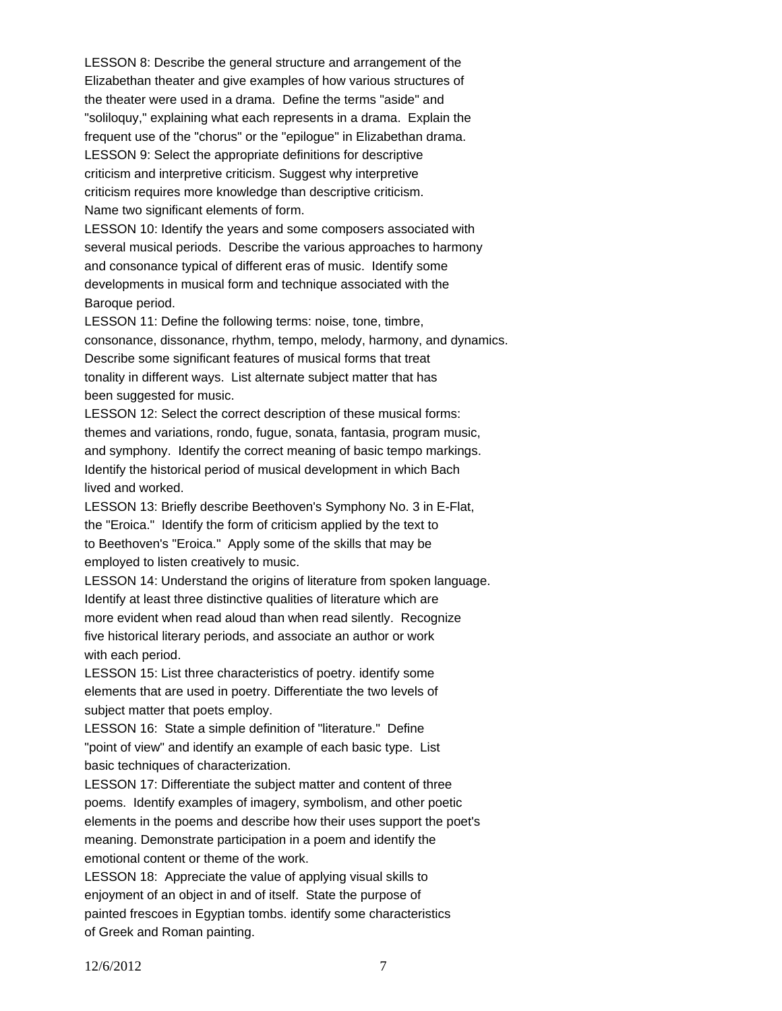LESSON 8: Describe the general structure and arrangement of the Elizabethan theater and give examples of how various structures of the theater were used in a drama. Define the terms "aside" and "soliloquy," explaining what each represents in a drama. Explain the frequent use of the "chorus" or the "epilogue" in Elizabethan drama. LESSON 9: Select the appropriate definitions for descriptive criticism and interpretive criticism. Suggest why interpretive criticism requires more knowledge than descriptive criticism. Name two significant elements of form.

LESSON 10: Identify the years and some composers associated with several musical periods. Describe the various approaches to harmony and consonance typical of different eras of music. Identify some developments in musical form and technique associated with the Baroque period.

LESSON 11: Define the following terms: noise, tone, timbre, consonance, dissonance, rhythm, tempo, melody, harmony, and dynamics. Describe some significant features of musical forms that treat tonality in different ways. List alternate subject matter that has been suggested for music.

LESSON 12: Select the correct description of these musical forms: themes and variations, rondo, fugue, sonata, fantasia, program music, and symphony. Identify the correct meaning of basic tempo markings. Identify the historical period of musical development in which Bach lived and worked.

LESSON 13: Briefly describe Beethoven's Symphony No. 3 in E-Flat, the "Eroica." Identify the form of criticism applied by the text to to Beethoven's "Eroica." Apply some of the skills that may be employed to listen creatively to music.

LESSON 14: Understand the origins of literature from spoken language. Identify at least three distinctive qualities of literature which are more evident when read aloud than when read silently. Recognize five historical literary periods, and associate an author or work with each period.

LESSON 15: List three characteristics of poetry. identify some elements that are used in poetry. Differentiate the two levels of subject matter that poets employ.

LESSON 16: State a simple definition of "literature." Define "point of view" and identify an example of each basic type. List basic techniques of characterization.

LESSON 17: Differentiate the subject matter and content of three poems. Identify examples of imagery, symbolism, and other poetic elements in the poems and describe how their uses support the poet's meaning. Demonstrate participation in a poem and identify the emotional content or theme of the work.

LESSON 18: Appreciate the value of applying visual skills to enjoyment of an object in and of itself. State the purpose of painted frescoes in Egyptian tombs. identify some characteristics of Greek and Roman painting.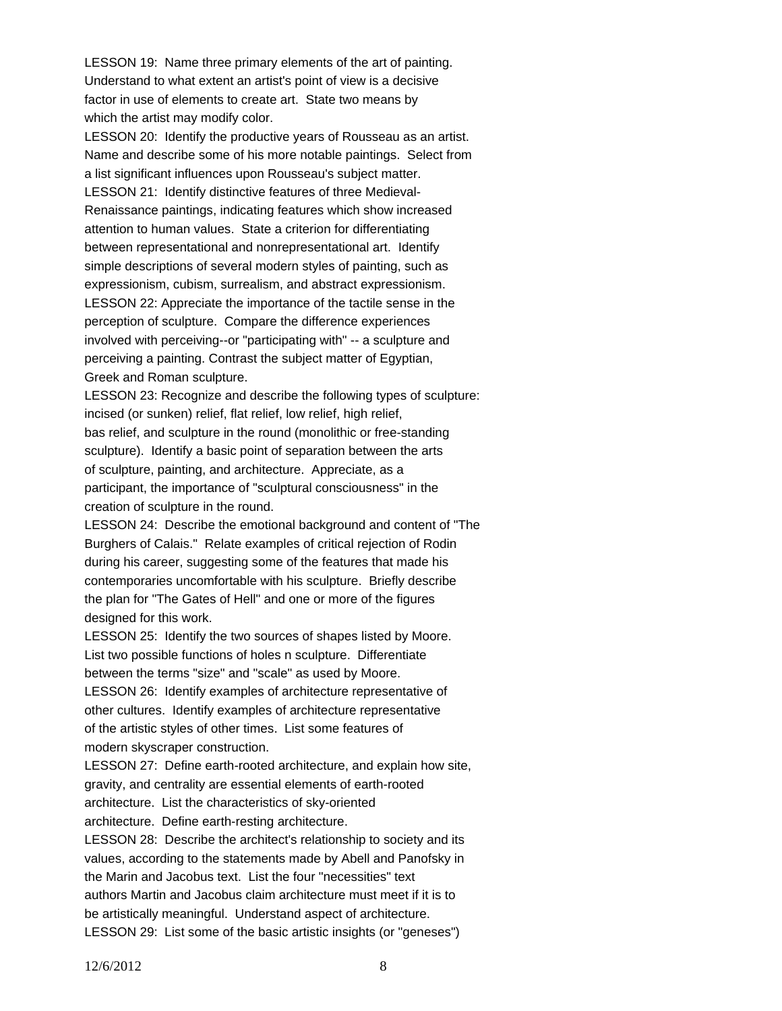LESSON 19: Name three primary elements of the art of painting. Understand to what extent an artist's point of view is a decisive factor in use of elements to create art. State two means by which the artist may modify color.

LESSON 20: Identify the productive years of Rousseau as an artist. Name and describe some of his more notable paintings. Select from a list significant influences upon Rousseau's subject matter. LESSON 21: Identify distinctive features of three Medieval-Renaissance paintings, indicating features which show increased attention to human values. State a criterion for differentiating between representational and nonrepresentational art. Identify simple descriptions of several modern styles of painting, such as expressionism, cubism, surrealism, and abstract expressionism. LESSON 22: Appreciate the importance of the tactile sense in the perception of sculpture. Compare the difference experiences involved with perceiving--or "participating with" -- a sculpture and perceiving a painting. Contrast the subject matter of Egyptian, Greek and Roman sculpture.

LESSON 23: Recognize and describe the following types of sculpture: incised (or sunken) relief, flat relief, low relief, high relief, bas relief, and sculpture in the round (monolithic or free-standing sculpture). Identify a basic point of separation between the arts of sculpture, painting, and architecture. Appreciate, as a participant, the importance of "sculptural consciousness" in the creation of sculpture in the round.

LESSON 24: Describe the emotional background and content of "The Burghers of Calais." Relate examples of critical rejection of Rodin during his career, suggesting some of the features that made his contemporaries uncomfortable with his sculpture. Briefly describe the plan for "The Gates of Hell" and one or more of the figures designed for this work.

LESSON 25: Identify the two sources of shapes listed by Moore. List two possible functions of holes n sculpture. Differentiate between the terms "size" and "scale" as used by Moore. LESSON 26: Identify examples of architecture representative of other cultures. Identify examples of architecture representative of the artistic styles of other times. List some features of modern skyscraper construction.

LESSON 27: Define earth-rooted architecture, and explain how site, gravity, and centrality are essential elements of earth-rooted architecture. List the characteristics of sky-oriented

architecture. Define earth-resting architecture.

LESSON 28: Describe the architect's relationship to society and its values, according to the statements made by Abell and Panofsky in the Marin and Jacobus text. List the four "necessities" text authors Martin and Jacobus claim architecture must meet if it is to be artistically meaningful. Understand aspect of architecture. LESSON 29: List some of the basic artistic insights (or "geneses")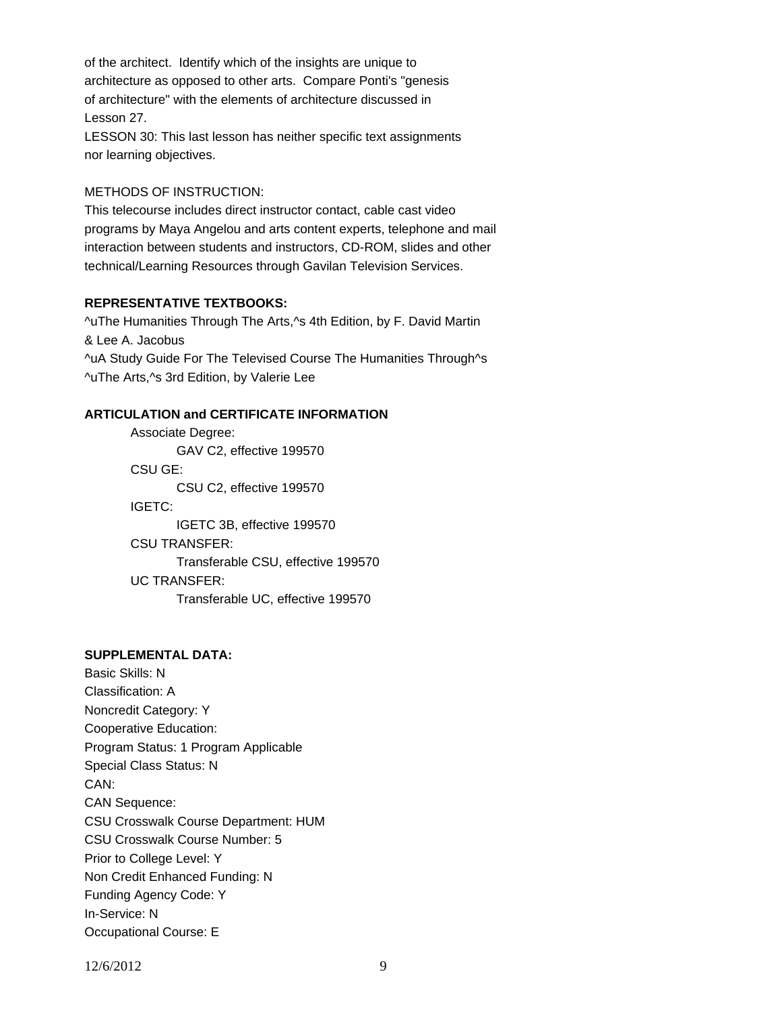of the architect. Identify which of the insights are unique to architecture as opposed to other arts. Compare Ponti's "genesis of architecture" with the elements of architecture discussed in Lesson 27.

LESSON 30: This last lesson has neither specific text assignments nor learning objectives.

### METHODS OF INSTRUCTION:

This telecourse includes direct instructor contact, cable cast video programs by Maya Angelou and arts content experts, telephone and mail interaction between students and instructors, CD-ROM, slides and other technical/Learning Resources through Gavilan Television Services.

## **REPRESENTATIVE TEXTBOOKS:**

^uThe Humanities Through The Arts,^s 4th Edition, by F. David Martin & Lee A. Jacobus ^uA Study Guide For The Televised Course The Humanities Through^s ^uThe Arts,^s 3rd Edition, by Valerie Lee

## **ARTICULATION and CERTIFICATE INFORMATION**

 Transferable CSU, effective 199570 UC TRANSFER: Transferable UC, effective 199570 Associate Degree: GAV C2, effective 199570 CSU GE: CSU C2, effective 199570 IGETC: IGETC 3B, effective 199570 CSU TRANSFER:

### **SUPPLEMENTAL DATA:**

Basic Skills: N Classification: A Noncredit Category: Y Cooperative Education: Program Status: 1 Program Applicable Special Class Status: N CAN: CAN Sequence: CSU Crosswalk Course Department: HUM CSU Crosswalk Course Number: 5 Prior to College Level: Y Non Credit Enhanced Funding: N Funding Agency Code: Y In-Service: N Occupational Course: E

12/6/2012 9